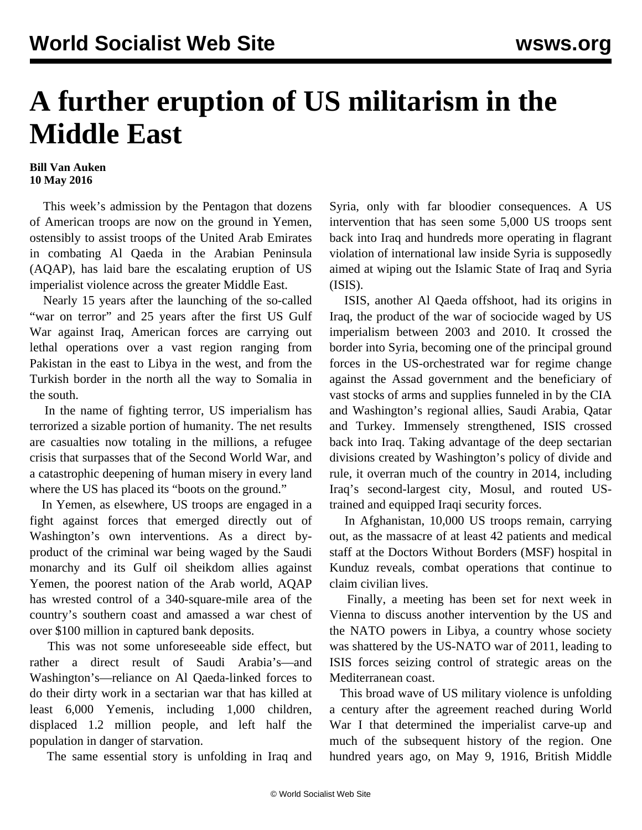## **A further eruption of US militarism in the Middle East**

## **Bill Van Auken 10 May 2016**

 This week's admission by the Pentagon that dozens of American troops are now on the ground in Yemen, ostensibly to assist troops of the United Arab Emirates in combating Al Qaeda in the Arabian Peninsula (AQAP), has laid bare the escalating eruption of US imperialist violence across the greater Middle East.

 Nearly 15 years after the launching of the so-called "war on terror" and 25 years after the first US Gulf War against Iraq, American forces are carrying out lethal operations over a vast region ranging from Pakistan in the east to Libya in the west, and from the Turkish border in the north all the way to Somalia in the south.

 In the name of fighting terror, US imperialism has terrorized a sizable portion of humanity. The net results are casualties now totaling in the millions, a refugee crisis that surpasses that of the Second World War, and a catastrophic deepening of human misery in every land where the US has placed its "boots on the ground."

 In Yemen, as elsewhere, US troops are engaged in a fight against forces that emerged directly out of Washington's own interventions. As a direct byproduct of the criminal war being waged by the Saudi monarchy and its Gulf oil sheikdom allies against Yemen, the poorest nation of the Arab world, AQAP has wrested control of a 340-square-mile area of the country's southern coast and amassed a war chest of over \$100 million in captured bank deposits.

 This was not some unforeseeable side effect, but rather a direct result of Saudi Arabia's—and Washington's—reliance on Al Qaeda-linked forces to do their dirty work in a sectarian war that has killed at least 6,000 Yemenis, including 1,000 children, displaced 1.2 million people, and left half the population in danger of starvation.

The same essential story is unfolding in Iraq and

Syria, only with far bloodier consequences. A US intervention that has seen some 5,000 US troops sent back into Iraq and hundreds more operating in flagrant violation of international law inside Syria is supposedly aimed at wiping out the Islamic State of Iraq and Syria (ISIS).

 ISIS, another Al Qaeda offshoot, had its origins in Iraq, the product of the war of sociocide waged by US imperialism between 2003 and 2010. It crossed the border into Syria, becoming one of the principal ground forces in the US-orchestrated war for regime change against the Assad government and the beneficiary of vast stocks of arms and supplies funneled in by the CIA and Washington's regional allies, Saudi Arabia, Qatar and Turkey. Immensely strengthened, ISIS crossed back into Iraq. Taking advantage of the deep sectarian divisions created by Washington's policy of divide and rule, it overran much of the country in 2014, including Iraq's second-largest city, Mosul, and routed UStrained and equipped Iraqi security forces.

 In Afghanistan, 10,000 US troops remain, carrying out, as the massacre of at least 42 patients and medical staff at the Doctors Without Borders (MSF) hospital in Kunduz reveals, combat operations that continue to claim civilian lives.

 Finally, a meeting has been set for next week in Vienna to discuss another intervention by the US and the NATO powers in Libya, a country whose society was shattered by the US-NATO war of 2011, leading to ISIS forces seizing control of strategic areas on the Mediterranean coast.

 This broad wave of US military violence is unfolding a century after the agreement reached during World War I that determined the imperialist carve-up and much of the subsequent history of the region. One hundred years ago, on May 9, 1916, British Middle